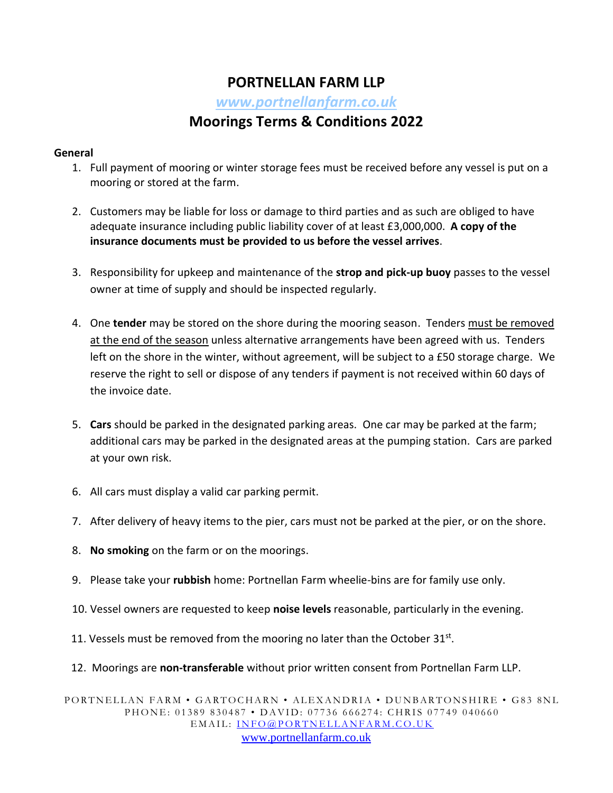# **PORTNELLAN FARM LLP**

*[www.portnellanfarm.co.uk](http://www.portnellanfarm.co.uk/)*

## **Moorings Terms & Conditions 2022**

#### **General**

- 1. Full payment of mooring or winter storage fees must be received before any vessel is put on a mooring or stored at the farm.
- 2. Customers may be liable for loss or damage to third parties and as such are obliged to have adequate insurance including public liability cover of at least £3,000,000. **A copy of the insurance documents must be provided to us before the vessel arrives**.
- 3. Responsibility for upkeep and maintenance of the **strop and pick-up buoy** passes to the vessel owner at time of supply and should be inspected regularly.
- 4. One **tender** may be stored on the shore during the mooring season. Tenders must be removed at the end of the season unless alternative arrangements have been agreed with us. Tenders left on the shore in the winter, without agreement, will be subject to a £50 storage charge. We reserve the right to sell or dispose of any tenders if payment is not received within 60 days of the invoice date.
- 5. **Cars** should be parked in the designated parking areas. One car may be parked at the farm; additional cars may be parked in the designated areas at the pumping station. Cars are parked at your own risk.
- 6. All cars must display a valid car parking permit.
- 7. After delivery of heavy items to the pier, cars must not be parked at the pier, or on the shore.
- 8. **No smoking** on the farm or on the moorings.
- 9. Please take your **rubbish** home: Portnellan Farm wheelie-bins are for family use only.
- 10. Vessel owners are requested to keep **noise levels** reasonable, particularly in the evening.
- 11. Vessels must be removed from the mooring no later than the October 31st.
- 12. Moorings are **non-transferable** without prior written consent from Portnellan Farm LLP.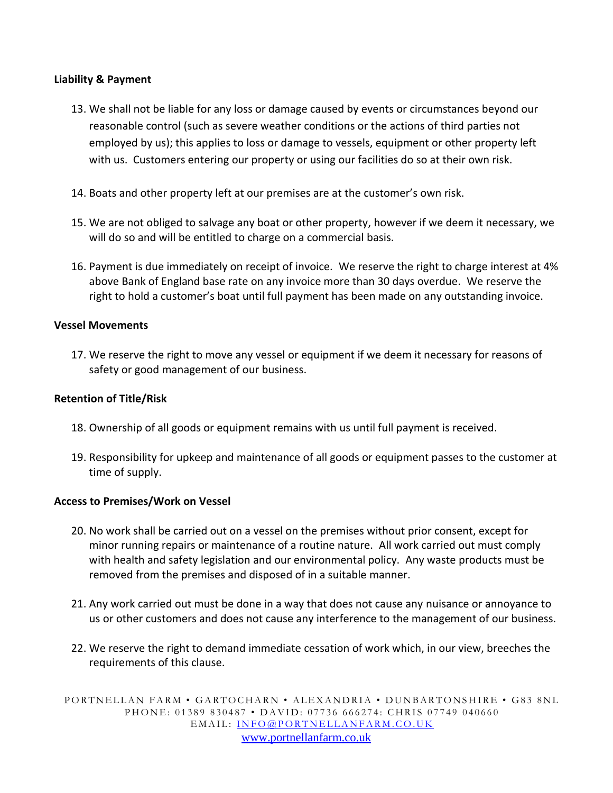#### **Liability & Payment**

- 13. We shall not be liable for any loss or damage caused by events or circumstances beyond our reasonable control (such as severe weather conditions or the actions of third parties not employed by us); this applies to loss or damage to vessels, equipment or other property left with us. Customers entering our property or using our facilities do so at their own risk.
- 14. Boats and other property left at our premises are at the customer's own risk.
- 15. We are not obliged to salvage any boat or other property, however if we deem it necessary, we will do so and will be entitled to charge on a commercial basis.
- 16. Payment is due immediately on receipt of invoice. We reserve the right to charge interest at 4% above Bank of England base rate on any invoice more than 30 days overdue. We reserve the right to hold a customer's boat until full payment has been made on any outstanding invoice.

#### **Vessel Movements**

17. We reserve the right to move any vessel or equipment if we deem it necessary for reasons of safety or good management of our business.

#### **Retention of Title/Risk**

- 18. Ownership of all goods or equipment remains with us until full payment is received.
- 19. Responsibility for upkeep and maintenance of all goods or equipment passes to the customer at time of supply.

#### **Access to Premises/Work on Vessel**

- 20. No work shall be carried out on a vessel on the premises without prior consent, except for minor running repairs or maintenance of a routine nature. All work carried out must comply with health and safety legislation and our environmental policy. Any waste products must be removed from the premises and disposed of in a suitable manner.
- 21. Any work carried out must be done in a way that does not cause any nuisance or annoyance to us or other customers and does not cause any interference to the management of our business.
- 22. We reserve the right to demand immediate cessation of work which, in our view, breeches the requirements of this clause.

PORTNELLAN FARM • GARTOCHARN • ALEXANDRIA • DUNBARTONSHIRE • G83 8NL PHONE: 01389 830487 • DAVID: 07736 666274: CHRIS 07749 040660 EMAIL: INFO@PORTNELLANFARM.CO.UK [www.portnellanfarm.co.uk](http://www.portnellanfarm.co.uk/)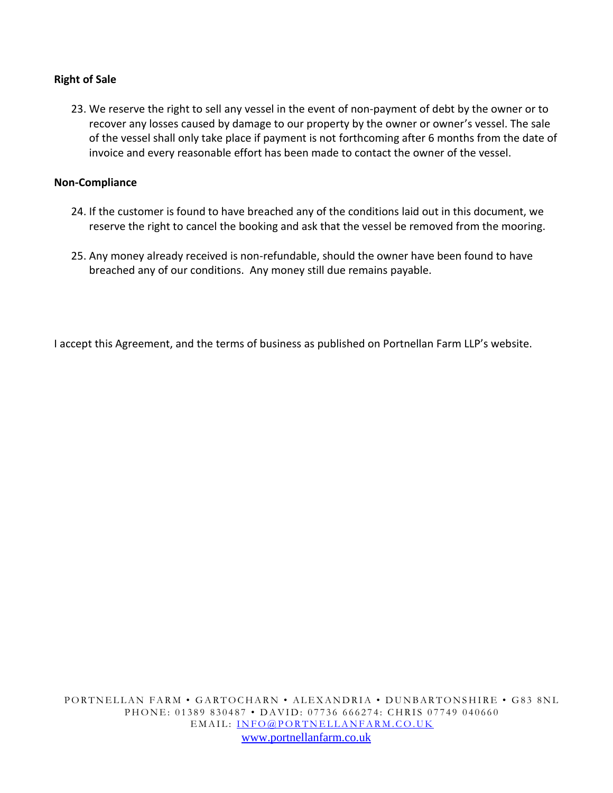#### **Right of Sale**

23. We reserve the right to sell any vessel in the event of non-payment of debt by the owner or to recover any losses caused by damage to our property by the owner or owner's vessel. The sale of the vessel shall only take place if payment is not forthcoming after 6 months from the date of invoice and every reasonable effort has been made to contact the owner of the vessel.

#### **Non-Compliance**

- 24. If the customer is found to have breached any of the conditions laid out in this document, we reserve the right to cancel the booking and ask that the vessel be removed from the mooring.
- 25. Any money already received is non-refundable, should the owner have been found to have breached any of our conditions. Any money still due remains payable.

I accept this Agreement, and the terms of business as published on Portnellan Farm LLP's website.